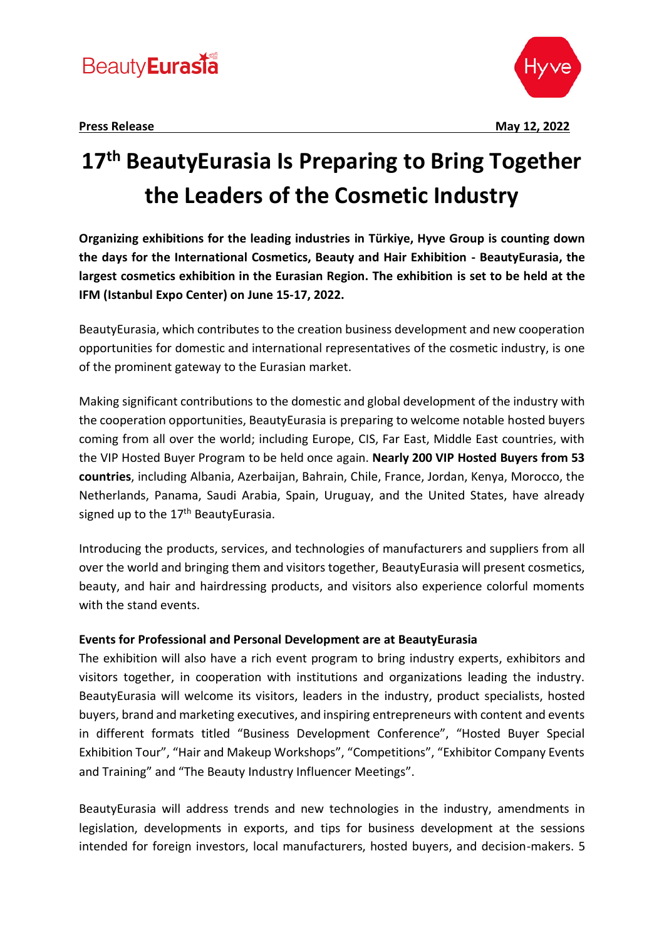

# **17th BeautyEurasia Is Preparing to Bring Together the Leaders of the Cosmetic Industry**

**Organizing exhibitions for the leading industries in Türkiye, Hyve Group is counting down the days for the International Cosmetics, Beauty and Hair Exhibition - BeautyEurasia, the largest cosmetics exhibition in the Eurasian Region. The exhibition is set to be held at the IFM (Istanbul Expo Center) on June 15-17, 2022.**

BeautyEurasia, which contributes to the creation business development and new cooperation opportunities for domestic and international representatives of the cosmetic industry, is one of the prominent gateway to the Eurasian market.

Making significant contributions to the domestic and global development of the industry with the cooperation opportunities, BeautyEurasia is preparing to welcome notable hosted buyers coming from all over the world; including Europe, CIS, Far East, Middle East countries, with the VIP Hosted Buyer Program to be held once again. **Nearly 200 VIP Hosted Buyers from 53 countries**, including Albania, Azerbaijan, Bahrain, Chile, France, Jordan, Kenya, Morocco, the Netherlands, Panama, Saudi Arabia, Spain, Uruguay, and the United States, have already signed up to the 17<sup>th</sup> BeautyEurasia.

Introducing the products, services, and technologies of manufacturers and suppliers from all over the world and bringing them and visitors together, BeautyEurasia will present cosmetics, beauty, and hair and hairdressing products, and visitors also experience colorful moments with the stand events.

### **Events for Professional and Personal Development are at BeautyEurasia**

The exhibition will also have a rich event program to bring industry experts, exhibitors and visitors together, in cooperation with institutions and organizations leading the industry. BeautyEurasia will welcome its visitors, leaders in the industry, product specialists, hosted buyers, brand and marketing executives, and inspiring entrepreneurs with content and events in different formats titled "Business Development Conference", "Hosted Buyer Special Exhibition Tour", "Hair and Makeup Workshops", "Competitions", "Exhibitor Company Events and Training" and "The Beauty Industry Influencer Meetings".

BeautyEurasia will address trends and new technologies in the industry, amendments in legislation, developments in exports, and tips for business development at the sessions intended for foreign investors, local manufacturers, hosted buyers, and decision-makers. 5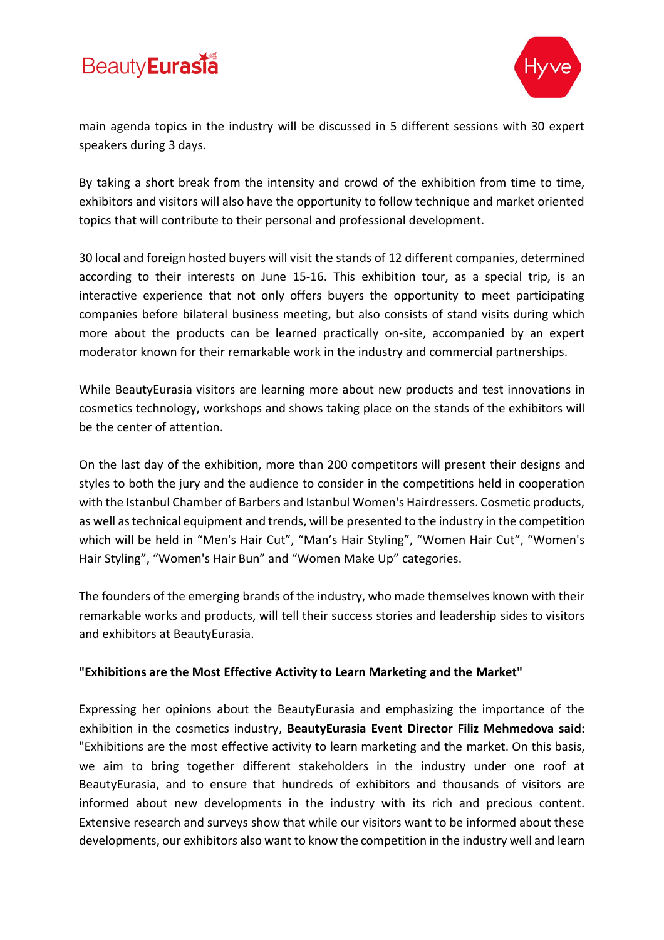## **Beauty** Eurasia



main agenda topics in the industry will be discussed in 5 different sessions with 30 expert speakers during 3 days.

By taking a short break from the intensity and crowd of the exhibition from time to time, exhibitors and visitors will also have the opportunity to follow technique and market oriented topics that will contribute to their personal and professional development.

30 local and foreign hosted buyers will visit the stands of 12 different companies, determined according to their interests on June 15-16. This exhibition tour, as a special trip, is an interactive experience that not only offers buyers the opportunity to meet participating companies before bilateral business meeting, but also consists of stand visits during which more about the products can be learned practically on-site, accompanied by an expert moderator known for their remarkable work in the industry and commercial partnerships.

While BeautyEurasia visitors are learning more about new products and test innovations in cosmetics technology, workshops and shows taking place on the stands of the exhibitors will be the center of attention.

On the last day of the exhibition, more than 200 competitors will present their designs and styles to both the jury and the audience to consider in the competitions held in cooperation with the Istanbul Chamber of Barbers and Istanbul Women's Hairdressers. Cosmetic products, as well as technical equipment and trends, will be presented to the industry in the competition which will be held in "Men's Hair Cut", "Man's Hair Styling", "Women Hair Cut", "Women's Hair Styling", "Women's Hair Bun" and "Women Make Up" categories.

The founders of the emerging brands of the industry, who made themselves known with their remarkable works and products, will tell their success stories and leadership sides to visitors and exhibitors at BeautyEurasia.

### **"Exhibitions are the Most Effective Activity to Learn Marketing and the Market"**

Expressing her opinions about the BeautyEurasia and emphasizing the importance of the exhibition in the cosmetics industry, **BeautyEurasia Event Director Filiz Mehmedova said:** "Exhibitions are the most effective activity to learn marketing and the market. On this basis, we aim to bring together different stakeholders in the industry under one roof at BeautyEurasia, and to ensure that hundreds of exhibitors and thousands of visitors are informed about new developments in the industry with its rich and precious content. Extensive research and surveys show that while our visitors want to be informed about these developments, our exhibitors also want to know the competition in the industry well and learn